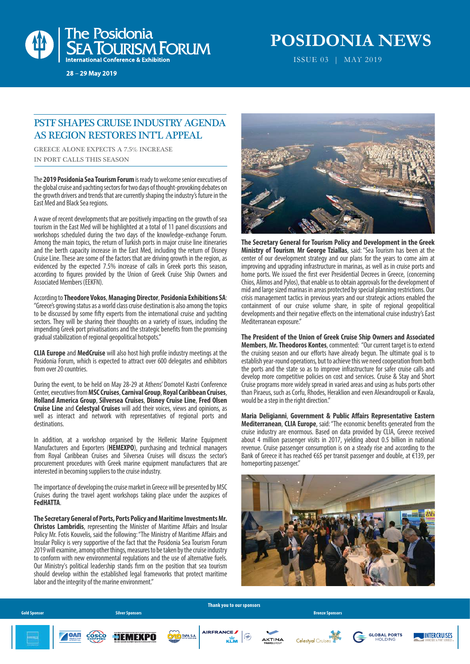

28 - 29 May 2019

## **POSIDONIA NEWS**

ISSUE 03 | MAΥ 2019

#### PSTF SHAPES CRUISE INDUSTRY AGENDA AS REGION RESTORES INT'L APPEAL

GREECE ALONE EXPECTS A 7.5% INCREASE IN PORT CALLS THIS SEASON

The **2019 Posidonia Sea Tourism Forum** is ready to welcome senior executives of the global cruise and yachting sectors for two days of thought-provoking debates on the growth drivers and trends that are currently shaping the industry's future in the East Med and Black Sea regions.

A wave of recent developments that are positively impacting on the growth of sea tourism in the East Med will be highlighted at a total of 11 panel discussions and workshops scheduled during the two days of the knowledge-exchange Forum. Among the main topics, the return of Turkish ports in major cruise line itineraries and the berth capacity increase in the East Med, including the return of Disney Cruise Line. These are some of the factors that are driving growth in the region, as evidenced by the expected 7.5% increase of calls in Greek ports this season, according to figures provided by the Union of Greek Cruise Ship Owners and Associated Members (EEKFN).

According to **Theodore Vokos**, **Managing Director**, **Posidonia Exhibitions SA**: "Greece's growing status as a world class cruise destination is also among the topics to be discussed by some fifty experts from the international cruise and yachting sectors. They will be sharing their thoughts on a variety of issues, including the impending Greek port privatisations and the strategic benefits from the promising gradual stabilization of regional geopolitical hotspots."

**CLIA Europe** and **MedCruise** will also host high profile industry meetings at the Posidonia Forum, which is expected to attract over 600 delegates and exhibitors from over 20 countries.

During the event, to be held on May 28-29 at Athens' Domotel Kastri Conference Center, executives from **MSC Cruises**, **Carnival Group**, **Royal Caribbean Cruises**, **Holland America Group**, **Silversea Cruises**, **Disney Cruise Line**, **Fred Olsen Cruise Line** and **Celestyal Cruises** will add their voices, views and opinions, as well as interact and network with representatives of regional ports and destinations.

In addition, at a workshop organised by the Hellenic Marine Equipment Manufacturers and Exporters (**HEMEXPO**), purchasing and technical managers from Royal Caribbean Cruises and Silversea Cruises will discuss the sector's procurement procedures with Greek marine equipment manufacturers that are interested in becoming suppliers to the cruise industry.

The importance of developing the cruise market in Greece will be presented by MSC Cruises during the travel agent workshops taking place under the auspices of **FedHATTA**.

**The Secretary General of Ports, Ports Policy and Maritime Investments Mr. Christos Lambridis**, representing the Minister of Maritime Affairs and Insular Policy Mr. Fotis Kouvelis, said the following: "The Ministry of Maritime Affairs and Insular Policy is very supportive of the fact that the Posidonia Sea Tourism Forum 2019 will examine, among other things, measures to be taken by the cruise industry to conform with new environmental regulations and the use of alternative fuels. Our Ministry's political leadership stands firm on the position that sea tourism should develop within the established legal frameworks that protect maritime labor and the integrity of the marine environment."



**The Secretary General for Tourism Policy and Development in the Greek Ministry of Tourism**, **Mr George Tziallas**, said: "Sea Tourism has been at the center of our development strategy and our plans for the years to come aim at improving and upgrading infrastructure in marinas, as well as in cruise ports and home ports. We issued the first ever Presidential Decrees in Greece, (concerning Chios, Alimos and Pylos), that enable us to obtain approvals for the development of mid and large sized marinas in areas protected by special planning restrictions. Our crisis management tactics in previous years and our strategic actions enabled the containment of our cruise volume share, in spite of regional geopolitical developments and their negative effects on the international cruise industry's East Mediterranean exposure."

**The President of the Union of Greek Cruise Ship Owners and Associated Members**, **Mr. Theodoros Kontes**, commented: "Our current target is to extend the cruising season and our efforts have already begun. The ultimate goal is to establish year-round operations, but to achieve this we need cooperation from both the ports and the state so as to improve infrastructure for safer cruise calls and develop more competitive policies on cost and services. Cruise & Stay and Short Cruise programs more widely spread in varied areas and using as hubs ports other than Piraeus, such as Corfu, Rhodes, Heraklion and even Alexandroupoli or Kavala, would be a step in the right direction."

**Maria Deligianni, Government & Public Affairs Representative Eastern Mediterranean, CLIA Europe, said: "The economic benefits generated from the** cruise industry are enormous. Based on data provided by CLIA, Greece received about 4 million passenger visits in 2017, yielding about 0.5 billion in national revenue. Cruise passenger consumption is on a steady rise and according to the Bank of Greece it has reached €65 per transit passenger and double, at €139, per homeporting passenger."